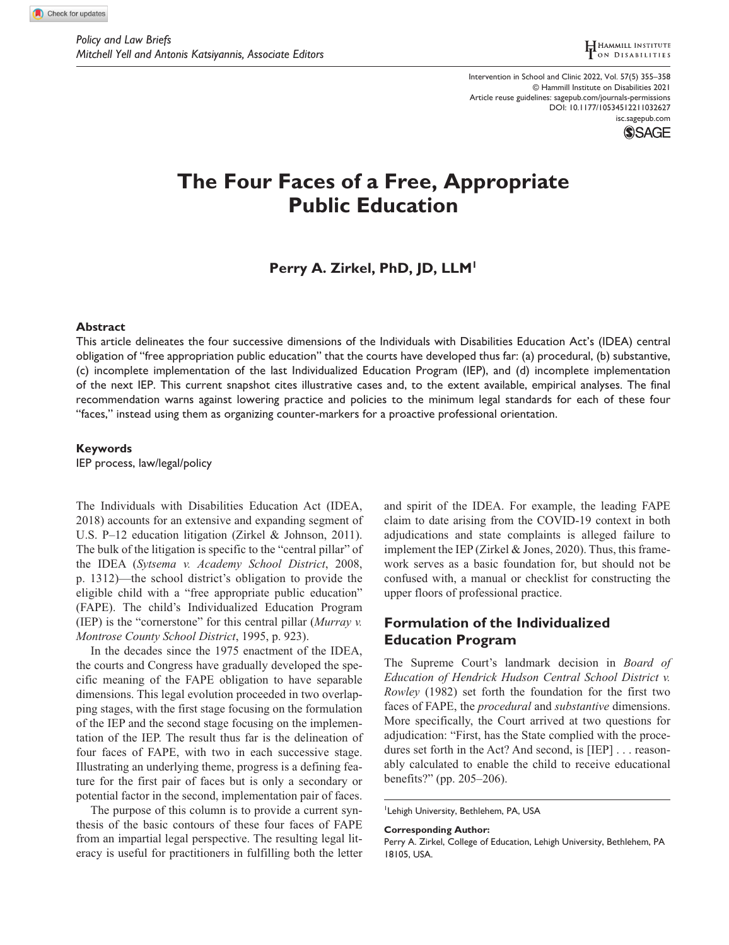DOI: 10.1177/10534512211032627 Intervention in School and Clinic 2022, Vol. 57(5) 355–358 © Hammill Institute on Disabilities 2021 Article reuse guidelines: [sagepub.com/journals-permissions](https://us.sagepub.com/en-us/journals-permissions) [isc.sagepub.com](https://isc.sagepub.com)



# **The Four Faces of a Free, Appropriate Public Education**

# **Perry A. Zirkel, PhD, JD, LLM1**

### **Abstract**

This article delineates the four successive dimensions of the Individuals with Disabilities Education Act's (IDEA) central obligation of "free appropriation public education" that the courts have developed thus far: (a) procedural, (b) substantive, (c) incomplete implementation of the last Individualized Education Program (IEP), and (d) incomplete implementation of the next IEP. This current snapshot cites illustrative cases and, to the extent available, empirical analyses. The final recommendation warns against lowering practice and policies to the minimum legal standards for each of these four "faces," instead using them as organizing counter-markers for a proactive professional orientation.

### **Keywords**

IEP process, law/legal/policy

The Individuals with Disabilities Education Act (IDEA, 2018) accounts for an extensive and expanding segment of U.S. P–12 education litigation (Zirkel & Johnson, 2011). The bulk of the litigation is specific to the "central pillar" of the IDEA (*Sytsema v. Academy School District*, 2008, p. 1312)—the school district's obligation to provide the eligible child with a "free appropriate public education" (FAPE). The child's Individualized Education Program (IEP) is the "cornerstone" for this central pillar (*Murray v. Montrose County School District*, 1995, p. 923).

In the decades since the 1975 enactment of the IDEA, the courts and Congress have gradually developed the specific meaning of the FAPE obligation to have separable dimensions. This legal evolution proceeded in two overlapping stages, with the first stage focusing on the formulation of the IEP and the second stage focusing on the implementation of the IEP. The result thus far is the delineation of four faces of FAPE, with two in each successive stage. Illustrating an underlying theme, progress is a defining feature for the first pair of faces but is only a secondary or potential factor in the second, implementation pair of faces.

The purpose of this column is to provide a current synthesis of the basic contours of these four faces of FAPE from an impartial legal perspective. The resulting legal literacy is useful for practitioners in fulfilling both the letter and spirit of the IDEA. For example, the leading FAPE claim to date arising from the COVID-19 context in both adjudications and state complaints is alleged failure to implement the IEP (Zirkel & Jones, 2020). Thus, this framework serves as a basic foundation for, but should not be confused with, a manual or checklist for constructing the upper floors of professional practice.

# **Formulation of the Individualized Education Program**

The Supreme Court's landmark decision in *Board of Education of Hendrick Hudson Central School District v. Rowley* (1982) set forth the foundation for the first two faces of FAPE, the *procedural* and *substantive* dimensions. More specifically, the Court arrived at two questions for adjudication: "First, has the State complied with the procedures set forth in the Act? And second, is [IEP] . . . reasonably calculated to enable the child to receive educational benefits?" (pp. 205–206).

Lehigh University, Bethlehem, PA, USA

**Corresponding Author:**

Perry A. Zirkel, College of Education, Lehigh University, Bethlehem, PA 18105, USA.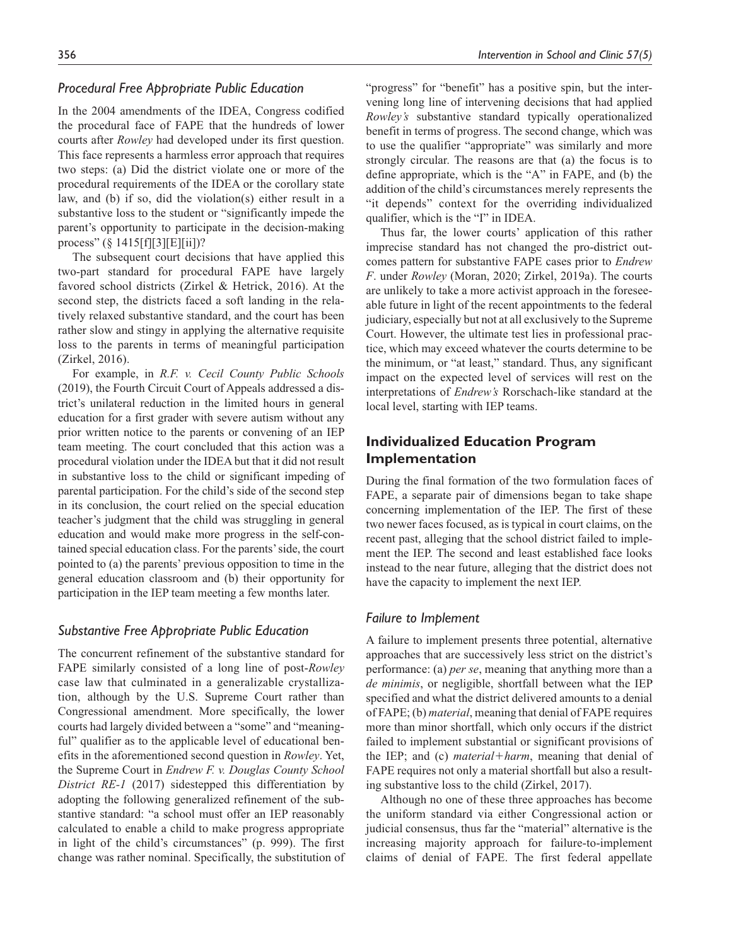### *Procedural Free Appropriate Public Education*

In the 2004 amendments of the IDEA, Congress codified the procedural face of FAPE that the hundreds of lower courts after *Rowley* had developed under its first question. This face represents a harmless error approach that requires two steps: (a) Did the district violate one or more of the procedural requirements of the IDEA or the corollary state law, and (b) if so, did the violation(s) either result in a substantive loss to the student or "significantly impede the parent's opportunity to participate in the decision-making process" (§ 1415[f][3][E][ii])?

The subsequent court decisions that have applied this two-part standard for procedural FAPE have largely favored school districts (Zirkel & Hetrick, 2016). At the second step, the districts faced a soft landing in the relatively relaxed substantive standard, and the court has been rather slow and stingy in applying the alternative requisite loss to the parents in terms of meaningful participation (Zirkel, 2016).

For example, in *R.F. v. Cecil County Public Schools* (2019), the Fourth Circuit Court of Appeals addressed a district's unilateral reduction in the limited hours in general education for a first grader with severe autism without any prior written notice to the parents or convening of an IEP team meeting. The court concluded that this action was a procedural violation under the IDEA but that it did not result in substantive loss to the child or significant impeding of parental participation. For the child's side of the second step in its conclusion, the court relied on the special education teacher's judgment that the child was struggling in general education and would make more progress in the self-contained special education class. For the parents' side, the court pointed to (a) the parents' previous opposition to time in the general education classroom and (b) their opportunity for participation in the IEP team meeting a few months later.

#### *Substantive Free Appropriate Public Education*

The concurrent refinement of the substantive standard for FAPE similarly consisted of a long line of post-*Rowley* case law that culminated in a generalizable crystallization, although by the U.S. Supreme Court rather than Congressional amendment. More specifically, the lower courts had largely divided between a "some" and "meaningful" qualifier as to the applicable level of educational benefits in the aforementioned second question in *Rowley*. Yet, the Supreme Court in *Endrew F. v. Douglas County School District RE-1* (2017) sidestepped this differentiation by adopting the following generalized refinement of the substantive standard: "a school must offer an IEP reasonably calculated to enable a child to make progress appropriate in light of the child's circumstances" (p. 999). The first change was rather nominal. Specifically, the substitution of "progress" for "benefit" has a positive spin, but the intervening long line of intervening decisions that had applied *Rowley's* substantive standard typically operationalized benefit in terms of progress. The second change, which was to use the qualifier "appropriate" was similarly and more strongly circular. The reasons are that (a) the focus is to define appropriate, which is the "A" in FAPE, and (b) the addition of the child's circumstances merely represents the "it depends" context for the overriding individualized qualifier, which is the "I" in IDEA.

Thus far, the lower courts' application of this rather imprecise standard has not changed the pro-district outcomes pattern for substantive FAPE cases prior to *Endrew F*. under *Rowley* (Moran, 2020; Zirkel, 2019a). The courts are unlikely to take a more activist approach in the foreseeable future in light of the recent appointments to the federal judiciary, especially but not at all exclusively to the Supreme Court. However, the ultimate test lies in professional practice, which may exceed whatever the courts determine to be the minimum, or "at least," standard. Thus, any significant impact on the expected level of services will rest on the interpretations of *Endrew's* Rorschach-like standard at the local level, starting with IEP teams.

# **Individualized Education Program Implementation**

During the final formation of the two formulation faces of FAPE, a separate pair of dimensions began to take shape concerning implementation of the IEP. The first of these two newer faces focused, as is typical in court claims, on the recent past, alleging that the school district failed to implement the IEP. The second and least established face looks instead to the near future, alleging that the district does not have the capacity to implement the next IEP.

### *Failure to Implement*

A failure to implement presents three potential, alternative approaches that are successively less strict on the district's performance: (a) *per se*, meaning that anything more than a *de minimis*, or negligible, shortfall between what the IEP specified and what the district delivered amounts to a denial of FAPE; (b) *material*, meaning that denial of FAPE requires more than minor shortfall, which only occurs if the district failed to implement substantial or significant provisions of the IEP; and (c) *material*+*harm*, meaning that denial of FAPE requires not only a material shortfall but also a resulting substantive loss to the child (Zirkel, 2017).

Although no one of these three approaches has become the uniform standard via either Congressional action or judicial consensus, thus far the "material" alternative is the increasing majority approach for failure-to-implement claims of denial of FAPE. The first federal appellate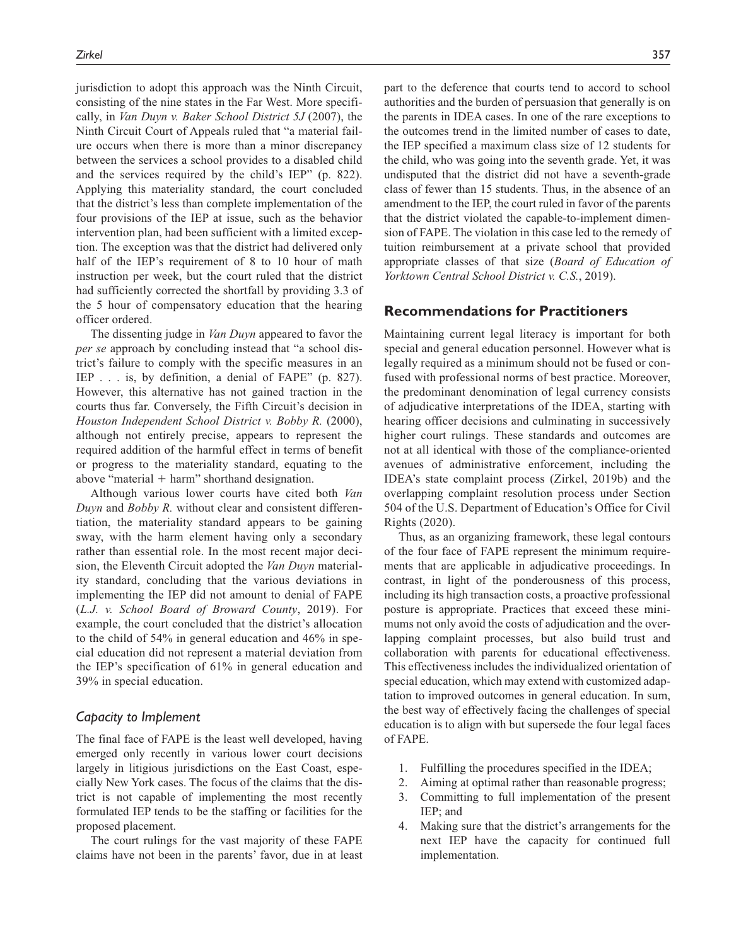jurisdiction to adopt this approach was the Ninth Circuit, consisting of the nine states in the Far West. More specifically, in *Van Duyn v. Baker School District 5J* (2007), the Ninth Circuit Court of Appeals ruled that "a material failure occurs when there is more than a minor discrepancy between the services a school provides to a disabled child and the services required by the child's IEP" (p. 822). Applying this materiality standard, the court concluded that the district's less than complete implementation of the four provisions of the IEP at issue, such as the behavior intervention plan, had been sufficient with a limited exception. The exception was that the district had delivered only half of the IEP's requirement of 8 to 10 hour of math instruction per week, but the court ruled that the district had sufficiently corrected the shortfall by providing 3.3 of the 5 hour of compensatory education that the hearing officer ordered.

The dissenting judge in *Van Duyn* appeared to favor the *per se* approach by concluding instead that "a school district's failure to comply with the specific measures in an IEP . . . is, by definition, a denial of FAPE" (p. 827). However, this alternative has not gained traction in the courts thus far. Conversely, the Fifth Circuit's decision in *Houston Independent School District v. Bobby R.* (2000), although not entirely precise, appears to represent the required addition of the harmful effect in terms of benefit or progress to the materiality standard, equating to the above "material  $+$  harm" shorthand designation.

Although various lower courts have cited both *Van Duyn* and *Bobby R.* without clear and consistent differentiation, the materiality standard appears to be gaining sway, with the harm element having only a secondary rather than essential role. In the most recent major decision, the Eleventh Circuit adopted the *Van Duyn* materiality standard, concluding that the various deviations in implementing the IEP did not amount to denial of FAPE (*L.J. v. School Board of Broward County*, 2019). For example, the court concluded that the district's allocation to the child of 54% in general education and 46% in special education did not represent a material deviation from the IEP's specification of 61% in general education and 39% in special education.

#### *Capacity to Implement*

The final face of FAPE is the least well developed, having emerged only recently in various lower court decisions largely in litigious jurisdictions on the East Coast, especially New York cases. The focus of the claims that the district is not capable of implementing the most recently formulated IEP tends to be the staffing or facilities for the proposed placement.

The court rulings for the vast majority of these FAPE claims have not been in the parents' favor, due in at least part to the deference that courts tend to accord to school authorities and the burden of persuasion that generally is on the parents in IDEA cases. In one of the rare exceptions to the outcomes trend in the limited number of cases to date, the IEP specified a maximum class size of 12 students for the child, who was going into the seventh grade. Yet, it was undisputed that the district did not have a seventh-grade class of fewer than 15 students. Thus, in the absence of an amendment to the IEP, the court ruled in favor of the parents that the district violated the capable-to-implement dimension of FAPE. The violation in this case led to the remedy of tuition reimbursement at a private school that provided appropriate classes of that size (*Board of Education of Yorktown Central School District v. C.S.*, 2019).

### **Recommendations for Practitioners**

Maintaining current legal literacy is important for both special and general education personnel. However what is legally required as a minimum should not be fused or confused with professional norms of best practice. Moreover, the predominant denomination of legal currency consists of adjudicative interpretations of the IDEA, starting with hearing officer decisions and culminating in successively higher court rulings. These standards and outcomes are not at all identical with those of the compliance-oriented avenues of administrative enforcement, including the IDEA's state complaint process (Zirkel, 2019b) and the overlapping complaint resolution process under Section 504 of the U.S. Department of Education's Office for Civil Rights (2020).

Thus, as an organizing framework, these legal contours of the four face of FAPE represent the minimum requirements that are applicable in adjudicative proceedings. In contrast, in light of the ponderousness of this process, including its high transaction costs, a proactive professional posture is appropriate. Practices that exceed these minimums not only avoid the costs of adjudication and the overlapping complaint processes, but also build trust and collaboration with parents for educational effectiveness. This effectiveness includes the individualized orientation of special education, which may extend with customized adaptation to improved outcomes in general education. In sum, the best way of effectively facing the challenges of special education is to align with but supersede the four legal faces of FAPE.

- 1. Fulfilling the procedures specified in the IDEA;
- 2. Aiming at optimal rather than reasonable progress;
- 3. Committing to full implementation of the present IEP; and
- 4. Making sure that the district's arrangements for the next IEP have the capacity for continued full implementation.